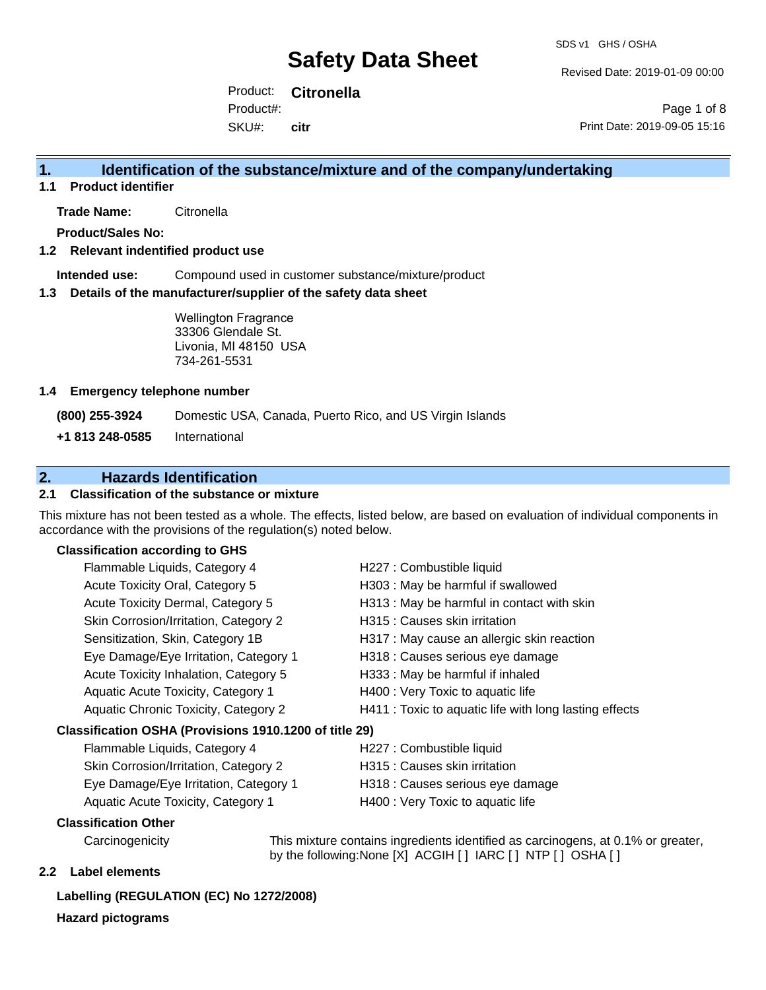Revised Date: 2019-01-09 00:00

Product: **Citronella** SKU#: Product#: **citr**

Page 1 of 8 Print Date: 2019-09-05 15:16

### **1. Identification of the substance/mixture and of the company/undertaking**

**1.1 Product identifier**

**Trade Name:** Citronella

**Product/Sales No:**

#### **1.2 Relevant indentified product use**

**Intended use:** Compound used in customer substance/mixture/product

#### **1.3 Details of the manufacturer/supplier of the safety data sheet**

Wellington Fragrance 33306 Glendale St. Livonia, MI 48150 USA 734-261-5531

#### **1.4 Emergency telephone number**

**(800) 255-3924** Domestic USA, Canada, Puerto Rico, and US Virgin Islands

**+1 813 248-0585** International

### **2. Hazards Identification**

#### **2.1 Classification of the substance or mixture**

This mixture has not been tested as a whole. The effects, listed below, are based on evaluation of individual components in accordance with the provisions of the regulation(s) noted below.

#### **Classification according to GHS**

| Flammable Liquids, Category 4                          | H227 : Combustible liquid                              |  |
|--------------------------------------------------------|--------------------------------------------------------|--|
| Acute Toxicity Oral, Category 5                        | H303 : May be harmful if swallowed                     |  |
| Acute Toxicity Dermal, Category 5                      | H313 : May be harmful in contact with skin             |  |
| Skin Corrosion/Irritation, Category 2                  | H315 : Causes skin irritation                          |  |
| Sensitization, Skin, Category 1B                       | H317 : May cause an allergic skin reaction             |  |
| Eye Damage/Eye Irritation, Category 1                  | H318 : Causes serious eye damage                       |  |
| Acute Toxicity Inhalation, Category 5                  | H333: May be harmful if inhaled                        |  |
| Aquatic Acute Toxicity, Category 1                     | H400 : Very Toxic to aquatic life                      |  |
| Aquatic Chronic Toxicity, Category 2                   | H411 : Toxic to aquatic life with long lasting effects |  |
| Classification OSHA (Provisions 1910.1200 of title 29) |                                                        |  |
| Flammable Liquids, Category 4                          | H227 : Combustible liquid                              |  |

| Skin Corrosion/Irritation, Category 2 |
|---------------------------------------|
| Eye Damage/Eye Irritation, Category 1 |
| Aquatic Acute Toxicity Category 1     |

- H315 : Causes skin irritation
- H318 : Causes serious eye damage
- Acute Toxicity, Category 1 **H400** : Very Toxic to aquatic life

#### **Classification Other**

Carcinogenicity This mixture contains ingredients identified as carcinogens, at 0.1% or greater, by the following:None [X] ACGIH [ ] IARC [ ] NTP [ ] OSHA [ ]

#### **2.2 Label elements**

#### **Labelling (REGULATION (EC) No 1272/2008)**

**Hazard pictograms**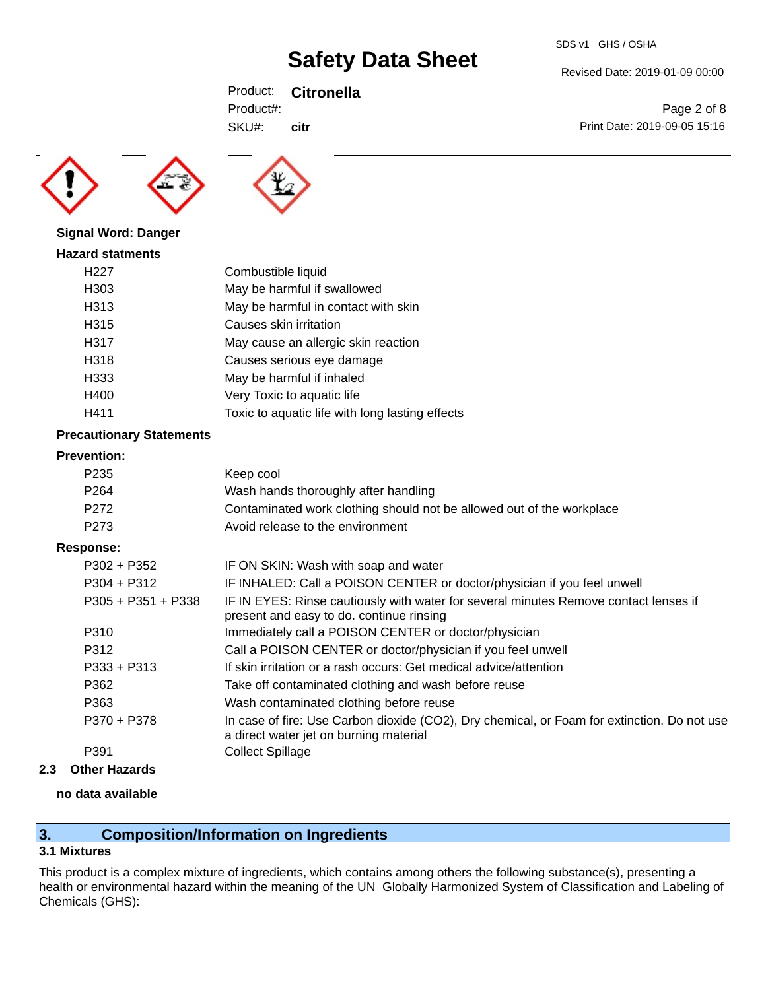Revised Date: 2019-01-09 00:00

Print Date: 2019-09-05 15:16

Page 2 of 8

Product: **Citronella** SKU#: Product#: **citr**





|  |  | <b>Signal Word: Danger</b> |
|--|--|----------------------------|
|--|--|----------------------------|

| <b>Hazard statments</b> |                                                 |
|-------------------------|-------------------------------------------------|
| H <sub>22</sub> 7       | Combustible liquid                              |
| H303                    | May be harmful if swallowed                     |
| H313                    | May be harmful in contact with skin             |
| H315                    | Causes skin irritation                          |
| H317                    | May cause an allergic skin reaction             |
| H318                    | Causes serious eye damage                       |
| H333                    | May be harmful if inhaled                       |
| H400                    | Very Toxic to aquatic life                      |
| H411                    | Toxic to aquatic life with long lasting effects |
|                         |                                                 |

#### **Precautionary Statements**

#### **Prevention:**

| ----------       |                                                                       |
|------------------|-----------------------------------------------------------------------|
| P235             | Keep cool                                                             |
| P <sub>264</sub> | Wash hands thoroughly after handling                                  |
| P272             | Contaminated work clothing should not be allowed out of the workplace |
| P273             | Avoid release to the environment                                      |
|                  |                                                                       |

#### **Response:**

| $P302 + P352$        | IF ON SKIN: Wash with soap and water                                                                                                  |
|----------------------|---------------------------------------------------------------------------------------------------------------------------------------|
| $P304 + P312$        | IF INHALED: Call a POISON CENTER or doctor/physician if you feel unwell                                                               |
| $P305 + P351 + P338$ | IF IN EYES: Rinse cautiously with water for several minutes Remove contact lenses if<br>present and easy to do. continue rinsing      |
| P310                 | Immediately call a POISON CENTER or doctor/physician                                                                                  |
| P312                 | Call a POISON CENTER or doctor/physician if you feel unwell                                                                           |
| $P333 + P313$        | If skin irritation or a rash occurs: Get medical advice/attention                                                                     |
| P362                 | Take off contaminated clothing and wash before reuse                                                                                  |
| P363                 | Wash contaminated clothing before reuse                                                                                               |
| P370 + P378          | In case of fire: Use Carbon dioxide (CO2), Dry chemical, or Foam for extinction. Do not use<br>a direct water jet on burning material |
| P391                 | <b>Collect Spillage</b>                                                                                                               |

**2.3 Other Hazards**

#### **no data available**

### **3. Composition/Information on Ingredients**

#### **3.1 Mixtures**

This product is a complex mixture of ingredients, which contains among others the following substance(s), presenting a health or environmental hazard within the meaning of the UN Globally Harmonized System of Classification and Labeling of Chemicals (GHS):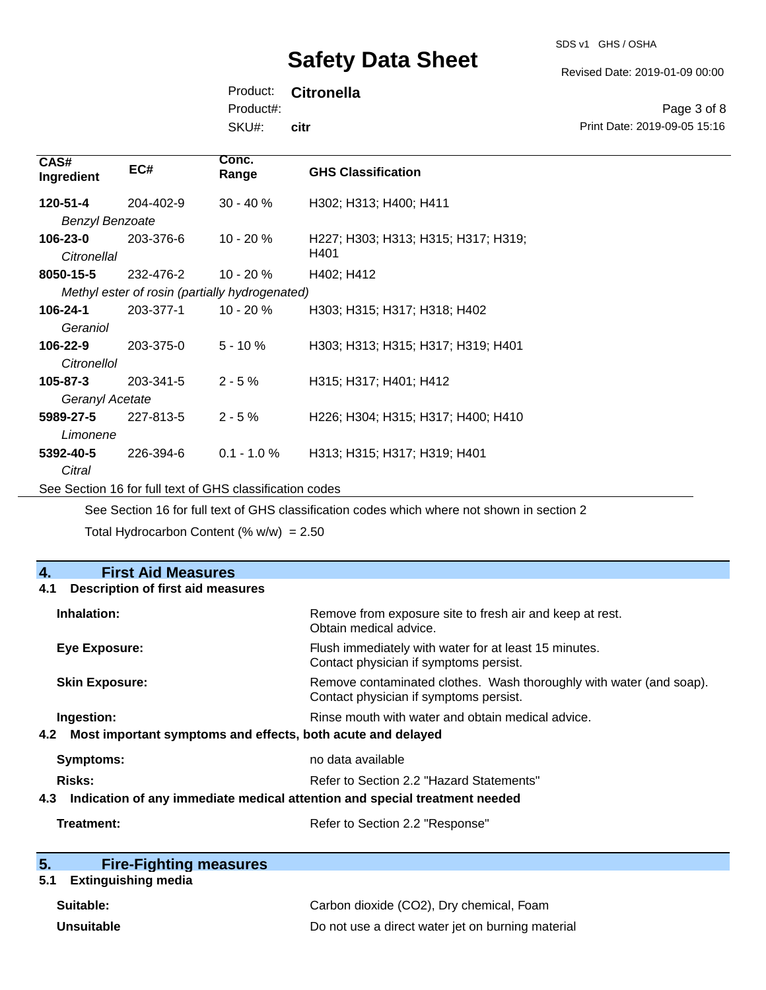SDS v1 GHS / OSHA

Revised Date: 2019-01-09 00:00

Print Date: 2019-09-05 15:16

Page 3 of 8

Product: **Citronella**

Product#:

SKU#: **citr**

| CAS#<br>Ingredient                                       | EC#                                            | Conc.<br>Range | <b>GHS Classification</b>           |
|----------------------------------------------------------|------------------------------------------------|----------------|-------------------------------------|
| 120-51-4                                                 | 204-402-9                                      | $30 - 40 \%$   | H302; H313; H400; H411              |
| <b>Benzyl Benzoate</b>                                   |                                                |                |                                     |
| 106-23-0                                                 | 203-376-6                                      | $10 - 20 \%$   | H227; H303; H313; H315; H317; H319; |
| Citronellal                                              |                                                |                | H401                                |
| 8050-15-5                                                | 232-476-2                                      | $10 - 20 \%$   | H402; H412                          |
|                                                          | Methyl ester of rosin (partially hydrogenated) |                |                                     |
| 106-24-1                                                 | 203-377-1                                      | $10 - 20 \%$   | H303; H315; H317; H318; H402        |
| Geraniol                                                 |                                                |                |                                     |
| $106 - 22 - 9$                                           | 203-375-0                                      | $5 - 10 \%$    | H303; H313; H315; H317; H319; H401  |
| Citronellol                                              |                                                |                |                                     |
| 105-87-3                                                 | 203-341-5                                      | $2 - 5%$       | H315; H317; H401; H412              |
| Geranyl Acetate                                          |                                                |                |                                     |
| 5989-27-5                                                | 227-813-5                                      | $2 - 5%$       | H226; H304; H315; H317; H400; H410  |
| Limonene                                                 |                                                |                |                                     |
| 5392-40-5                                                | 226-394-6                                      | $0.1 - 1.0 %$  | H313; H315; H317; H319; H401        |
| Citral                                                   |                                                |                |                                     |
| See Section 16 for full text of GHS classification codes |                                                |                |                                     |

See Section 16 for full text of GHS classification codes which where not shown in section 2 Total Hydrocarbon Content (%  $w/w$ ) = 2.50

| 4.<br><b>First Aid Measures</b>                                                   |                                                                                                               |
|-----------------------------------------------------------------------------------|---------------------------------------------------------------------------------------------------------------|
| <b>Description of first aid measures</b><br>4.1                                   |                                                                                                               |
| Inhalation:                                                                       | Remove from exposure site to fresh air and keep at rest.<br>Obtain medical advice.                            |
| Eye Exposure:                                                                     | Flush immediately with water for at least 15 minutes.<br>Contact physician if symptoms persist.               |
| <b>Skin Exposure:</b>                                                             | Remove contaminated clothes. Wash thoroughly with water (and soap).<br>Contact physician if symptoms persist. |
| Ingestion:                                                                        | Rinse mouth with water and obtain medical advice.                                                             |
| Most important symptoms and effects, both acute and delayed<br>4.2                |                                                                                                               |
| Symptoms:                                                                         | no data available                                                                                             |
| <b>Risks:</b>                                                                     | Refer to Section 2.2 "Hazard Statements"                                                                      |
| Indication of any immediate medical attention and special treatment needed<br>4.3 |                                                                                                               |
| Treatment:                                                                        | Refer to Section 2.2 "Response"                                                                               |

| 5. | <b>Fire-Fighting measures</b> |
|----|-------------------------------|
|    |                               |

## **5.1 Extinguishing media**

| Suitable:  | Carbon dioxide (CO2), Dry chemical, Foam          |
|------------|---------------------------------------------------|
| Unsuitable | Do not use a direct water jet on burning material |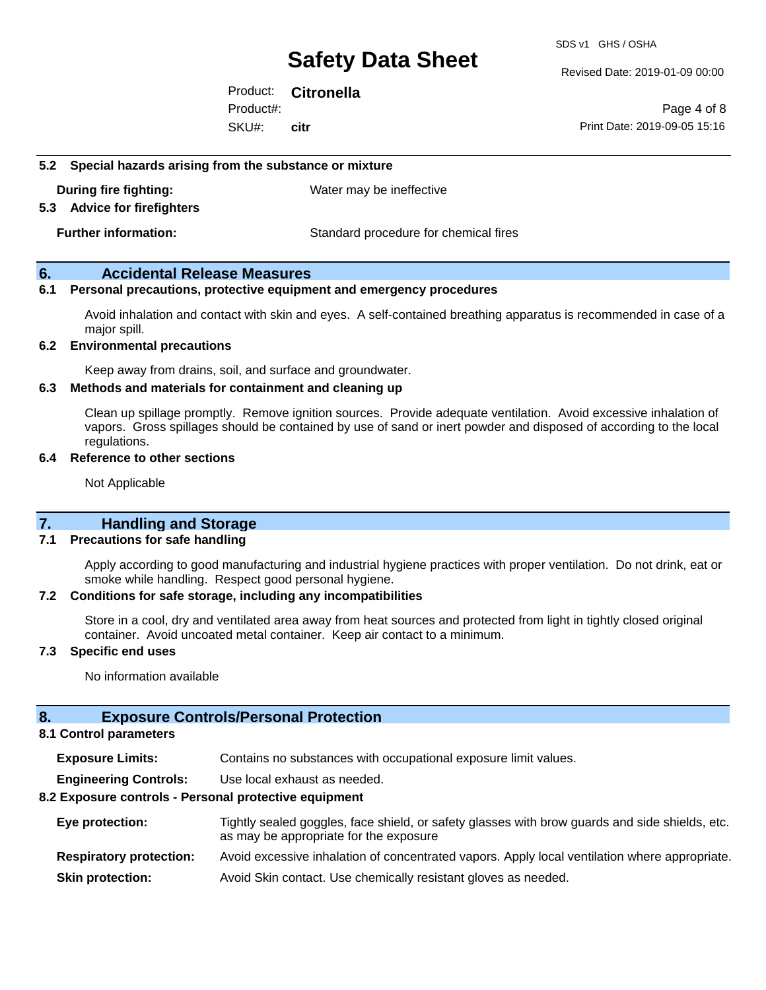Revised Date: 2019-01-09 00:00

Product: **Citronella** SKU#: Product#: **citr**

Page 4 of 8 Print Date: 2019-09-05 15:16

#### **5.2 Special hazards arising from the substance or mixture**

**During fire fighting:** Water may be ineffective

#### **5.3 Advice for firefighters**

**Further information:** Standard procedure for chemical fires

#### **6. Accidental Release Measures**

#### **6.1 Personal precautions, protective equipment and emergency procedures**

Avoid inhalation and contact with skin and eyes. A self-contained breathing apparatus is recommended in case of a major spill.

#### **6.2 Environmental precautions**

Keep away from drains, soil, and surface and groundwater.

#### **6.3 Methods and materials for containment and cleaning up**

Clean up spillage promptly. Remove ignition sources. Provide adequate ventilation. Avoid excessive inhalation of vapors. Gross spillages should be contained by use of sand or inert powder and disposed of according to the local regulations.

#### **6.4 Reference to other sections**

Not Applicable

#### **7. Handling and Storage**

#### **7.1 Precautions for safe handling**

Apply according to good manufacturing and industrial hygiene practices with proper ventilation. Do not drink, eat or smoke while handling. Respect good personal hygiene.

#### **7.2 Conditions for safe storage, including any incompatibilities**

Store in a cool, dry and ventilated area away from heat sources and protected from light in tightly closed original container. Avoid uncoated metal container. Keep air contact to a minimum.

#### **7.3 Specific end uses**

No information available

#### **8. Exposure Controls/Personal Protection**

#### **8.1 Control parameters**

**Exposure Limits:** Contains no substances with occupational exposure limit values.

**Engineering Controls:** Use local exhaust as needed.

#### **8.2 Exposure controls - Personal protective equipment**

| Eye protection:                | Tightly sealed goggles, face shield, or safety glasses with brow guards and side shields, etc.<br>as may be appropriate for the exposure |
|--------------------------------|------------------------------------------------------------------------------------------------------------------------------------------|
| <b>Respiratory protection:</b> | Avoid excessive inhalation of concentrated vapors. Apply local ventilation where appropriate.                                            |
| <b>Skin protection:</b>        | Avoid Skin contact. Use chemically resistant gloves as needed.                                                                           |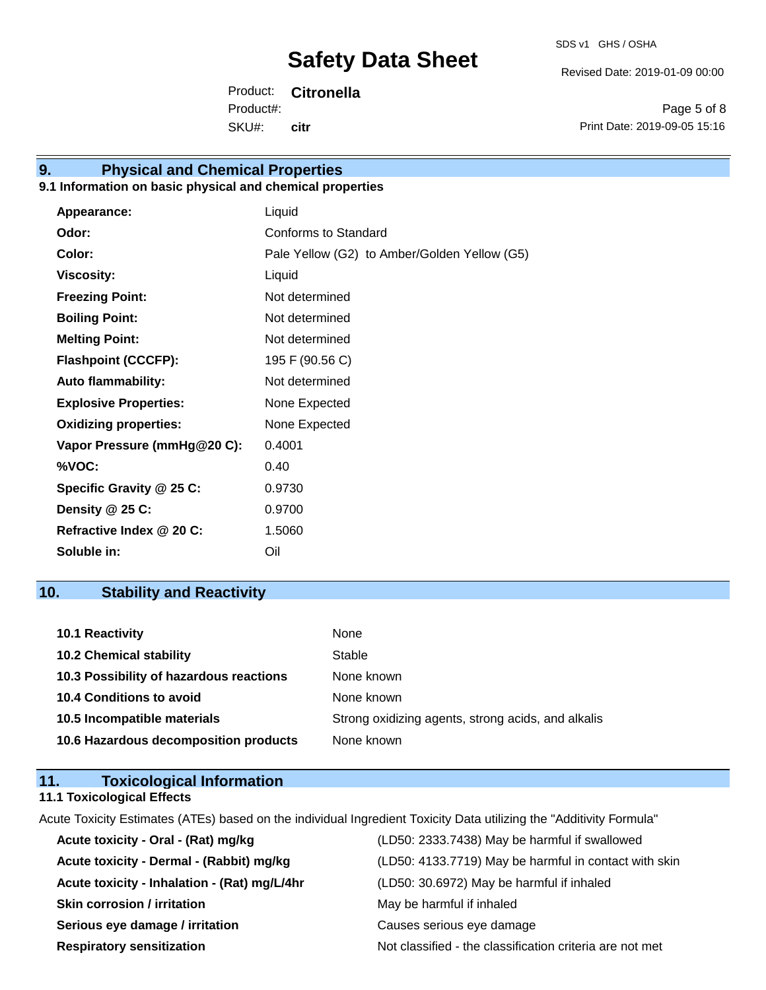Revised Date: 2019-01-09 00:00

Product: **Citronella** SKU#: Product#: **citr**

Page 5 of 8 Print Date: 2019-09-05 15:16

## **9. Physical and Chemical Properties**

#### **9.1 Information on basic physical and chemical properties**

| <b>Appearance:</b>           | Liquid                                       |
|------------------------------|----------------------------------------------|
| Odor:                        | Conforms to Standard                         |
| Color:                       | Pale Yellow (G2) to Amber/Golden Yellow (G5) |
| <b>Viscosity:</b>            | Liquid                                       |
| <b>Freezing Point:</b>       | Not determined                               |
| <b>Boiling Point:</b>        | Not determined                               |
| <b>Melting Point:</b>        | Not determined                               |
| <b>Flashpoint (CCCFP):</b>   | 195 F (90.56 C)                              |
| <b>Auto flammability:</b>    | Not determined                               |
| <b>Explosive Properties:</b> | None Expected                                |
| <b>Oxidizing properties:</b> | None Expected                                |
| Vapor Pressure (mmHg@20 C):  | 0.4001                                       |
| %VOC:                        | 0.40                                         |
| Specific Gravity @ 25 C:     | 0.9730                                       |
| Density @ 25 C:              | 0.9700                                       |
| Refractive Index @ 20 C:     | 1.5060                                       |
| Soluble in:                  | Oil                                          |

### **10. Stability and Reactivity**

| 10.1 Reactivity                         | None                                               |
|-----------------------------------------|----------------------------------------------------|
| <b>10.2 Chemical stability</b>          | Stable                                             |
| 10.3 Possibility of hazardous reactions | None known                                         |
| <b>10.4 Conditions to avoid</b>         | None known                                         |
| 10.5 Incompatible materials             | Strong oxidizing agents, strong acids, and alkalis |
| 10.6 Hazardous decomposition products   | None known                                         |

### **11. Toxicological Information 11.1 Toxicological Effects**

Acute Toxicity Estimates (ATEs) based on the individual Ingredient Toxicity Data utilizing the "Additivity Formula"

| Acute toxicity - Oral - (Rat) mg/kg          | (LD50: 2333.7438) May be harmful if swallowed            |
|----------------------------------------------|----------------------------------------------------------|
| Acute toxicity - Dermal - (Rabbit) mg/kg     | (LD50: 4133.7719) May be harmful in contact with skin    |
| Acute toxicity - Inhalation - (Rat) mg/L/4hr | (LD50: 30.6972) May be harmful if inhaled                |
| <b>Skin corrosion / irritation</b>           | May be harmful if inhaled                                |
| Serious eye damage / irritation              | Causes serious eye damage                                |
| <b>Respiratory sensitization</b>             | Not classified - the classification criteria are not met |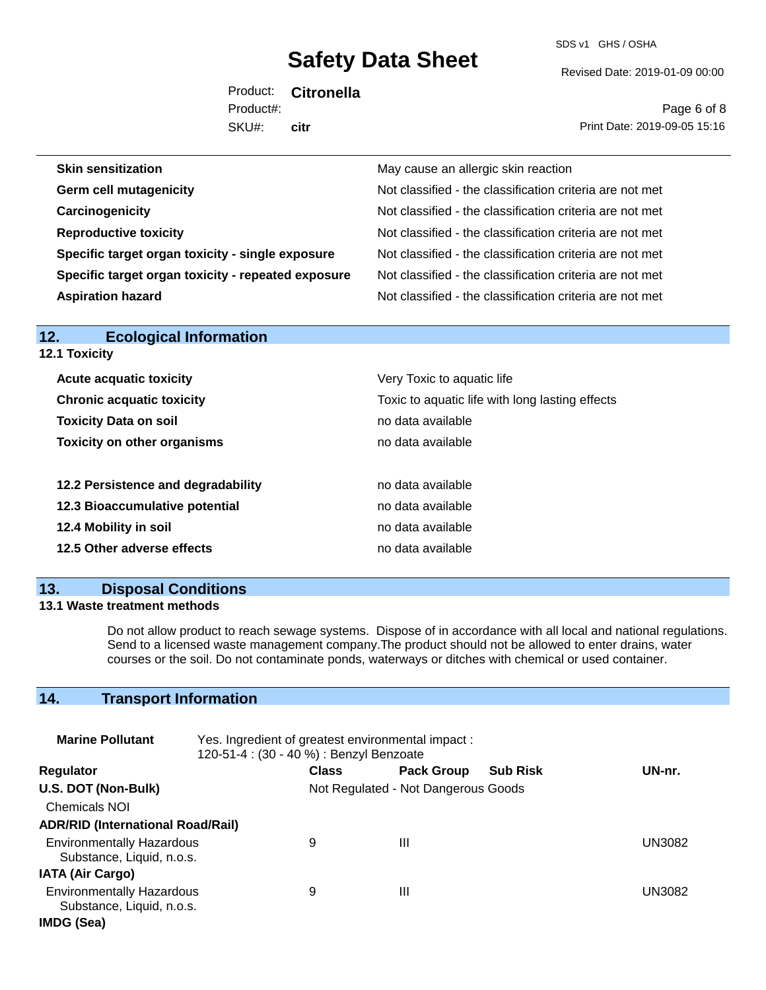SDS v1 GHS / OSHA

Revised Date: 2019-01-09 00:00

Product: **Citronella** SKU#: Product#: **citr**

Page 6 of 8 Print Date: 2019-09-05 15:16

| <b>Skin sensitization</b>                          | May cause an allergic skin reaction                      |
|----------------------------------------------------|----------------------------------------------------------|
| <b>Germ cell mutagenicity</b>                      | Not classified - the classification criteria are not met |
| Carcinogenicity                                    | Not classified - the classification criteria are not met |
| <b>Reproductive toxicity</b>                       | Not classified - the classification criteria are not met |
| Specific target organ toxicity - single exposure   | Not classified - the classification criteria are not met |
| Specific target organ toxicity - repeated exposure | Not classified - the classification criteria are not met |
| <b>Aspiration hazard</b>                           | Not classified - the classification criteria are not met |
|                                                    |                                                          |

| <b>Ecological Information</b><br>12. |                                                 |  |  |
|--------------------------------------|-------------------------------------------------|--|--|
| <b>12.1 Toxicity</b>                 |                                                 |  |  |
| <b>Acute acquatic toxicity</b>       | Very Toxic to aquatic life                      |  |  |
| <b>Chronic acquatic toxicity</b>     | Toxic to aquatic life with long lasting effects |  |  |
| <b>Toxicity Data on soil</b>         | no data available                               |  |  |
| <b>Toxicity on other organisms</b>   | no data available                               |  |  |
| 12.2 Persistence and degradability   | no data available                               |  |  |
| 12.3 Bioaccumulative potential       | no data available                               |  |  |
| 12.4 Mobility in soil                | no data available                               |  |  |
| 12.5 Other adverse effects           | no data available                               |  |  |
|                                      |                                                 |  |  |

### **13. Disposal Conditions**

#### **13.1 Waste treatment methods**

Do not allow product to reach sewage systems. Dispose of in accordance with all local and national regulations. Send to a licensed waste management company.The product should not be allowed to enter drains, water courses or the soil. Do not contaminate ponds, waterways or ditches with chemical or used container.

### **14. Transport Information**

| <b>Marine Pollutant</b>                                       | Yes. Ingredient of greatest environmental impact:<br>120-51-4 : (30 - 40 %) : Benzyl Benzoate |                                     |                   |                 |               |
|---------------------------------------------------------------|-----------------------------------------------------------------------------------------------|-------------------------------------|-------------------|-----------------|---------------|
| <b>Regulator</b>                                              |                                                                                               | <b>Class</b>                        | <b>Pack Group</b> | <b>Sub Risk</b> | UN-nr.        |
| U.S. DOT (Non-Bulk)                                           |                                                                                               | Not Regulated - Not Dangerous Goods |                   |                 |               |
| <b>Chemicals NOI</b>                                          |                                                                                               |                                     |                   |                 |               |
| <b>ADR/RID (International Road/Rail)</b>                      |                                                                                               |                                     |                   |                 |               |
| <b>Environmentally Hazardous</b><br>Substance, Liquid, n.o.s. |                                                                                               | 9                                   | Ш                 |                 | UN3082        |
| <b>IATA (Air Cargo)</b>                                       |                                                                                               |                                     |                   |                 |               |
| <b>Environmentally Hazardous</b><br>Substance, Liquid, n.o.s. |                                                                                               | 9                                   | Ш                 |                 | <b>UN3082</b> |
| IMDG (Sea)                                                    |                                                                                               |                                     |                   |                 |               |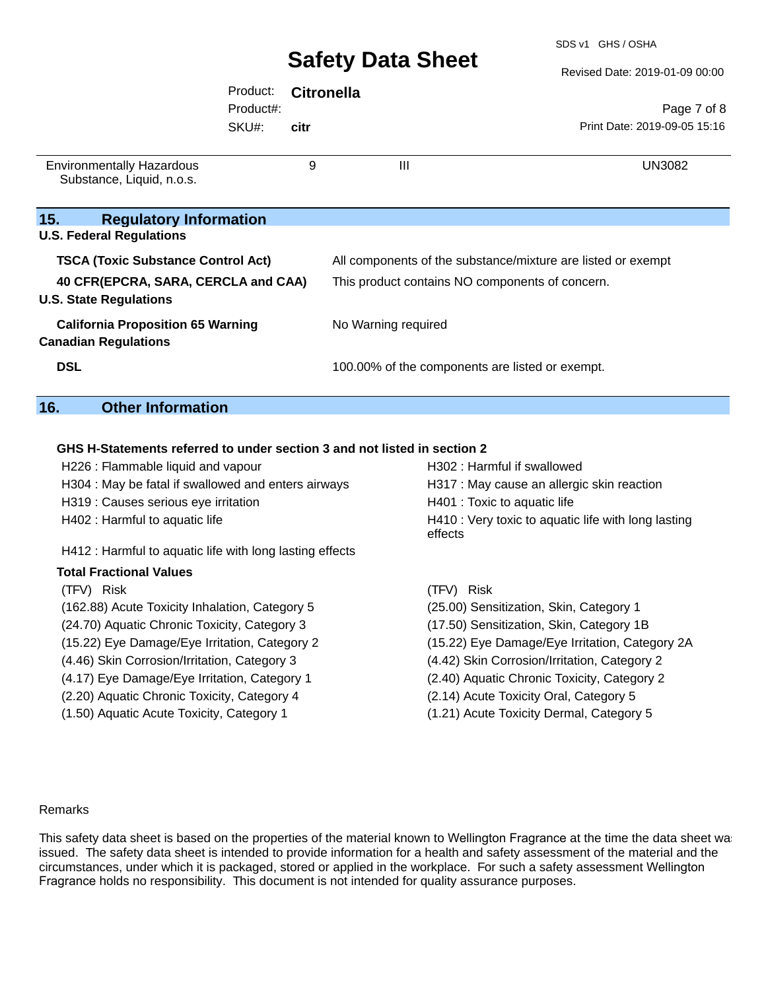SDS v1 GHS / OSHA

Revised Date: 2019-01-09 00:00

|                                                                         | Product:<br>Product#: | <b>Citronella</b> |                                                 | Page 7 of 8                                                  |
|-------------------------------------------------------------------------|-----------------------|-------------------|-------------------------------------------------|--------------------------------------------------------------|
|                                                                         | SKU#:                 | citr              |                                                 | Print Date: 2019-09-05 15:16                                 |
| <b>Environmentally Hazardous</b><br>Substance, Liquid, n.o.s.           |                       | 9                 | Ш                                               | <b>UN3082</b>                                                |
| 15.<br><b>Regulatory Information</b>                                    |                       |                   |                                                 |                                                              |
| <b>U.S. Federal Regulations</b>                                         |                       |                   |                                                 |                                                              |
| <b>TSCA (Toxic Substance Control Act)</b>                               |                       |                   |                                                 | All components of the substance/mixture are listed or exempt |
| 40 CFR(EPCRA, SARA, CERCLA and CAA)<br><b>U.S. State Regulations</b>    |                       |                   | This product contains NO components of concern. |                                                              |
| <b>California Proposition 65 Warning</b><br><b>Canadian Regulations</b> |                       |                   | No Warning required                             |                                                              |
| <b>DSL</b>                                                              |                       |                   | 100.00% of the components are listed or exempt. |                                                              |
| 16.<br><b>Other Information</b>                                         |                       |                   |                                                 |                                                              |

#### **GHS H-Statements referred to under section 3 and not listed in section 2**

| H226 : Flammable liquid and vapour                       | H302 : Harmful if swallowed                                    |
|----------------------------------------------------------|----------------------------------------------------------------|
| H304 : May be fatal if swallowed and enters airways      | H317 : May cause an allergic skin reaction                     |
| H319 : Causes serious eye irritation                     | H401 : Toxic to aquatic life                                   |
| H402 : Harmful to aquatic life                           | H410 : Very toxic to aquatic life with long lasting<br>effects |
| H412 : Harmful to aquatic life with long lasting effects |                                                                |
| <b>Total Fractional Values</b>                           |                                                                |
| (TFV) Risk                                               | Risk<br>(TFV) –                                                |
| (162.88) Acute Toxicity Inhalation, Category 5           | (25.00) Sensitization, Skin, Category 1                        |
| (24.70) Aquatic Chronic Toxicity, Category 3             | (17.50) Sensitization, Skin, Category 1B                       |
| (15.22) Eye Damage/Eye Irritation, Category 2            | (15.22) Eye Damage/Eye Irritation, Category 2A                 |
| (4.46) Skin Corrosion/Irritation, Category 3             | (4.42) Skin Corrosion/Irritation, Category 2                   |
| (4.17) Eye Damage/Eye Irritation, Category 1             | (2.40) Aquatic Chronic Toxicity, Category 2                    |
| (2.20) Aquatic Chronic Toxicity, Category 4              | (2.14) Acute Toxicity Oral, Category 5                         |
| (1.50) Aquatic Acute Toxicity, Category 1                | (1.21) Acute Toxicity Dermal, Category 5                       |

#### Remarks

 $\overline{\phantom{a}}$ 

This safety data sheet is based on the properties of the material known to Wellington Fragrance at the time the data sheet was issued. The safety data sheet is intended to provide information for a health and safety assessment of the material and the circumstances, under which it is packaged, stored or applied in the workplace. For such a safety assessment Wellington Fragrance holds no responsibility. This document is not intended for quality assurance purposes.